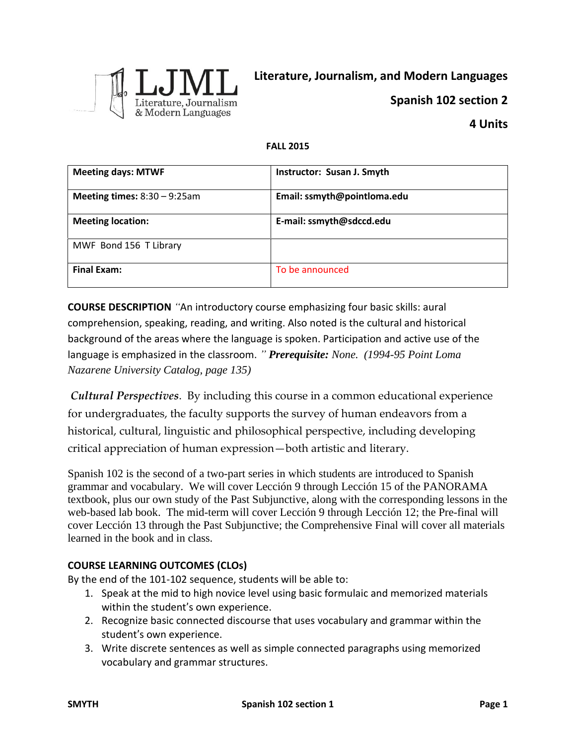

**Literature, Journalism, and Modern Languages**

**Spanish 102 section 2**

# **4 Units**

#### **FALL 2015**

| <b>Meeting days: MTWF</b>      | Instructor: Susan J. Smyth  |
|--------------------------------|-----------------------------|
| Meeting times: $8:30 - 9:25am$ | Email: ssmyth@pointloma.edu |
| <b>Meeting location:</b>       | E-mail: ssmyth@sdccd.edu    |
| MWF Bond 156 T Library         |                             |
| <b>Final Exam:</b>             | To be announced             |

**COURSE DESCRIPTION** *"*An introductory course emphasizing four basic skills: aural comprehension, speaking, reading, and writing. Also noted is the cultural and historical background of the areas where the language is spoken. Participation and active use of the language is emphasized in the classroom. *" Prerequisite: None. (1994-95 Point Loma Nazarene University Catalog, page 135)*

*Cultural Perspectives*. By including this course in a common educational experience for undergraduates, the faculty supports the survey of human endeavors from a historical, cultural, linguistic and philosophical perspective, including developing critical appreciation of human expression—both artistic and literary.

Spanish 102 is the second of a two-part series in which students are introduced to Spanish grammar and vocabulary. We will cover Lección 9 through Lección 15 of the PANORAMA textbook, plus our own study of the Past Subjunctive, along with the corresponding lessons in the web-based lab book. The mid-term will cover Lección 9 through Lección 12; the Pre-final will cover Lección 13 through the Past Subjunctive; the Comprehensive Final will cover all materials learned in the book and in class.

## **COURSE LEARNING OUTCOMES (CLOs)**

By the end of the 101-102 sequence, students will be able to:

- 1. Speak at the mid to high novice level using basic formulaic and memorized materials within the student's own experience.
- 2. Recognize basic connected discourse that uses vocabulary and grammar within the student's own experience.
- 3. Write discrete sentences as well as simple connected paragraphs using memorized vocabulary and grammar structures.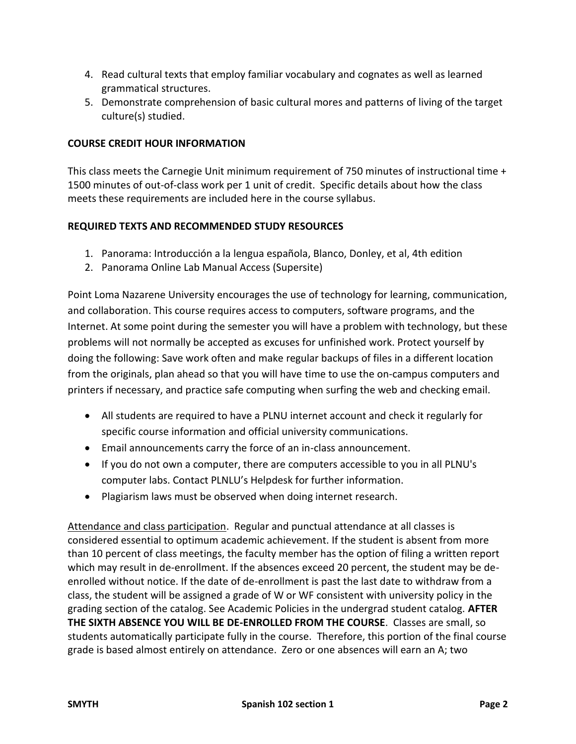- 4. Read cultural texts that employ familiar vocabulary and cognates as well as learned grammatical structures.
- 5. Demonstrate comprehension of basic cultural mores and patterns of living of the target culture(s) studied.

## **COURSE CREDIT HOUR INFORMATION**

This class meets the Carnegie Unit minimum requirement of 750 minutes of instructional time + 1500 minutes of out-of-class work per 1 unit of credit. Specific details about how the class meets these requirements are included here in the course syllabus.

## **REQUIRED TEXTS AND RECOMMENDED STUDY RESOURCES**

- 1. Panorama: Introducción a la lengua española, Blanco, Donley, et al, 4th edition
- 2. Panorama Online Lab Manual Access (Supersite)

Point Loma Nazarene University encourages the use of technology for learning, communication, and collaboration. This course requires access to computers, software programs, and the Internet. At some point during the semester you will have a problem with technology, but these problems will not normally be accepted as excuses for unfinished work. Protect yourself by doing the following: Save work often and make regular backups of files in a different location from the originals, plan ahead so that you will have time to use the on-campus computers and printers if necessary, and practice safe computing when surfing the web and checking email.

- All students are required to have a PLNU internet account and check it regularly for specific course information and official university communications.
- Email announcements carry the force of an in-class announcement.
- If you do not own a computer, there are computers accessible to you in all PLNU's computer labs. Contact PLNLU's Helpdesk for further information.
- Plagiarism laws must be observed when doing internet research.

Attendance and class participation. Regular and punctual attendance at all classes is considered essential to optimum academic achievement. If the student is absent from more than 10 percent of class meetings, the faculty member has the option of filing a written report which may result in de-enrollment. If the absences exceed 20 percent, the student may be deenrolled without notice. If the date of de-enrollment is past the last date to withdraw from a class, the student will be assigned a grade of W or WF consistent with university policy in the grading section of the catalog. See Academic Policies in the undergrad student catalog. **AFTER THE SIXTH ABSENCE YOU WILL BE DE-ENROLLED FROM THE COURSE**. Classes are small, so students automatically participate fully in the course. Therefore, this portion of the final course grade is based almost entirely on attendance. Zero or one absences will earn an A; two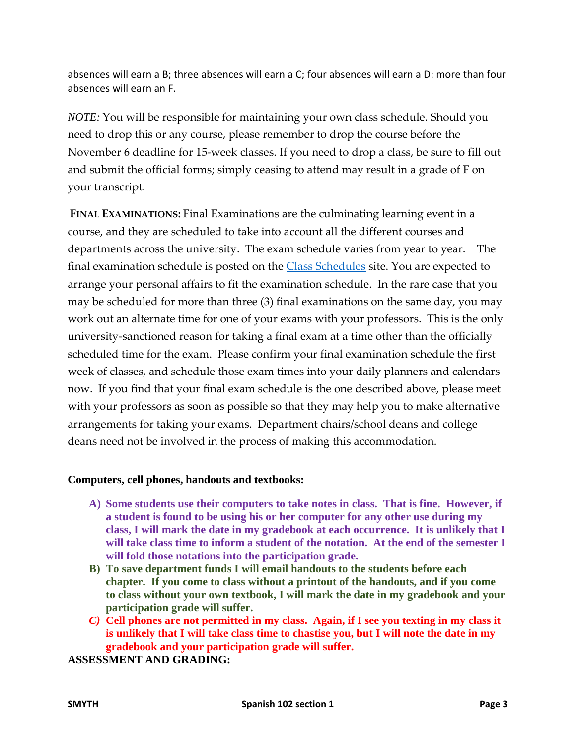absences will earn a B; three absences will earn a C; four absences will earn a D: more than four absences will earn an F.

*NOTE:* You will be responsible for maintaining your own class schedule. Should you need to drop this or any course, please remember to drop the course before the November 6 deadline for 15-week classes. If you need to drop a class, be sure to fill out and submit the official forms; simply ceasing to attend may result in a grade of F on your transcript.

**FINAL EXAMINATIONS:** Final Examinations are the culminating learning event in a course, and they are scheduled to take into account all the different courses and departments across the university. The exam schedule varies from year to year. The final examination schedule is posted on the **Class Schedules** site. You are expected to arrange your personal affairs to fit the examination schedule. In the rare case that you may be scheduled for more than three (3) final examinations on the same day, you may work out an alternate time for one of your exams with your professors. This is the only university-sanctioned reason for taking a final exam at a time other than the officially scheduled time for the exam. Please confirm your final examination schedule the first week of classes, and schedule those exam times into your daily planners and calendars now. If you find that your final exam schedule is the one described above, please meet with your professors as soon as possible so that they may help you to make alternative arrangements for taking your exams. Department chairs/school deans and college deans need not be involved in the process of making this accommodation.

## **Computers, cell phones, handouts and textbooks:**

- **A) Some students use their computers to take notes in class. That is fine. However, if a student is found to be using his or her computer for any other use during my class, I will mark the date in my gradebook at each occurrence. It is unlikely that I will take class time to inform a student of the notation. At the end of the semester I will fold those notations into the participation grade.**
- **B) To save department funds I will email handouts to the students before each chapter. If you come to class without a printout of the handouts, and if you come to class without your own textbook, I will mark the date in my gradebook and your participation grade will suffer.**
- *C)* **Cell phones are not permitted in my class. Again, if I see you texting in my class it is unlikely that I will take class time to chastise you, but I will note the date in my gradebook and your participation grade will suffer.**

**ASSESSMENT AND GRADING:**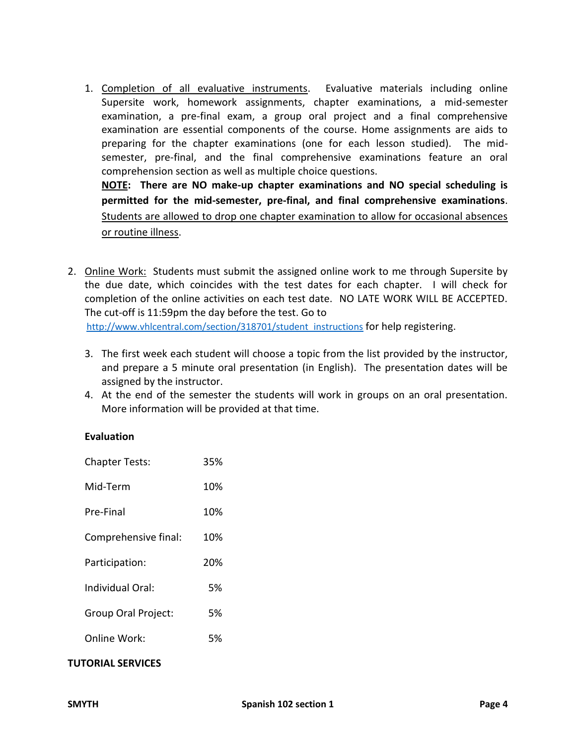1. Completion of all evaluative instruments. Evaluative materials including online Supersite work, homework assignments, chapter examinations, a mid-semester examination, a pre-final exam, a group oral project and a final comprehensive examination are essential components of the course. Home assignments are aids to preparing for the chapter examinations (one for each lesson studied). The midsemester, pre-final, and the final comprehensive examinations feature an oral comprehension section as well as multiple choice questions.

**NOTE: There are NO make-up chapter examinations and NO special scheduling is permitted for the mid-semester, pre-final, and final comprehensive examinations**. Students are allowed to drop one chapter examination to allow for occasional absences or routine illness.

- 2. Online Work: Students must submit the assigned online work to me through Supersite by the due date, which coincides with the test dates for each chapter. I will check for completion of the online activities on each test date. NO LATE WORK WILL BE ACCEPTED. The cut-off is 11:59pm the day before the test. Go to [http://www.vhlcentral.com/section/318701/student\\_instructions](http://www.vhlcentral.com/section/318701/student_instructions) for help registering.
	- 3. The first week each student will choose a topic from the list provided by the instructor, and prepare a 5 minute oral presentation (in English). The presentation dates will be assigned by the instructor.
	- 4. At the end of the semester the students will work in groups on an oral presentation. More information will be provided at that time.

## **Evaluation**

| <b>Chapter Tests:</b> | 35% |
|-----------------------|-----|
| Mid-Term              | 10% |
| Pre-Final             | 10% |
| Comprehensive final:  | 10% |
| Participation:        | 20% |
| Individual Oral:      | 5%  |
| Group Oral Project:   | 5%  |
| Online Work:          | 5%  |
|                       |     |

#### **TUTORIAL SERVICES**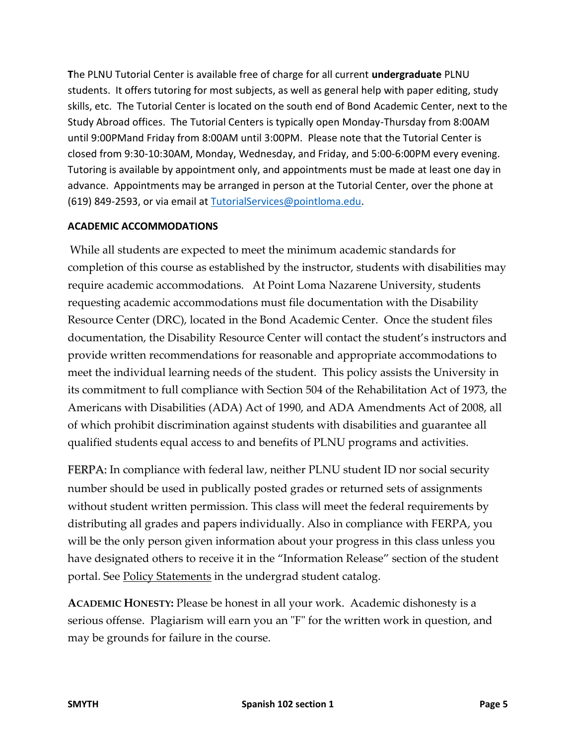**T**he PLNU Tutorial Center is available free of charge for all current **undergraduate** PLNU students. It offers tutoring for most subjects, as well as general help with paper editing, study skills, etc. The Tutorial Center is located on the south end of Bond Academic Center, next to the Study Abroad offices. The Tutorial Centers is typically open Monday-Thursday from 8:00AM until 9:00PMand Friday from 8:00AM until 3:00PM. Please note that the Tutorial Center is closed from 9:30-10:30AM, Monday, Wednesday, and Friday, and 5:00-6:00PM every evening. Tutoring is available by appointment only, and appointments must be made at least one day in advance. Appointments may be arranged in person at the Tutorial Center, over the phone at (619) 849-2593, or via email at [TutorialServices@pointloma.edu.](mailto:TutorialServices@pointloma.edu)

## **ACADEMIC ACCOMMODATIONS**

While all students are expected to meet the minimum academic standards for completion of this course as established by the instructor, students with disabilities may require academic accommodations. At Point Loma Nazarene University, students requesting academic accommodations must file documentation with the Disability Resource Center (DRC), located in the Bond Academic Center. Once the student files documentation, the Disability Resource Center will contact the student's instructors and provide written recommendations for reasonable and appropriate accommodations to meet the individual learning needs of the student. This policy assists the University in its commitment to full compliance with Section 504 of the Rehabilitation Act of 1973, the Americans with Disabilities (ADA) Act of 1990, and ADA Amendments Act of 2008, all of which prohibit discrimination against students with disabilities and guarantee all qualified students equal access to and benefits of PLNU programs and activities.

FERPA: In compliance with federal law, neither PLNU student ID nor social security number should be used in publically posted grades or returned sets of assignments without student written permission. This class will meet the federal requirements by distributing all grades and papers individually. Also in compliance with FERPA, you will be the only person given information about your progress in this class unless you have designated others to receive it in the "Information Release" section of the student portal. See [Policy Statements](http://www.pointloma.edu/experience/academics/catalogs/undergraduate-catalog/policy-statements) in the undergrad student catalog.

**ACADEMIC HONESTY:** Please be honest in all your work. Academic dishonesty is a serious offense. Plagiarism will earn you an "F" for the written work in question, and may be grounds for failure in the course.